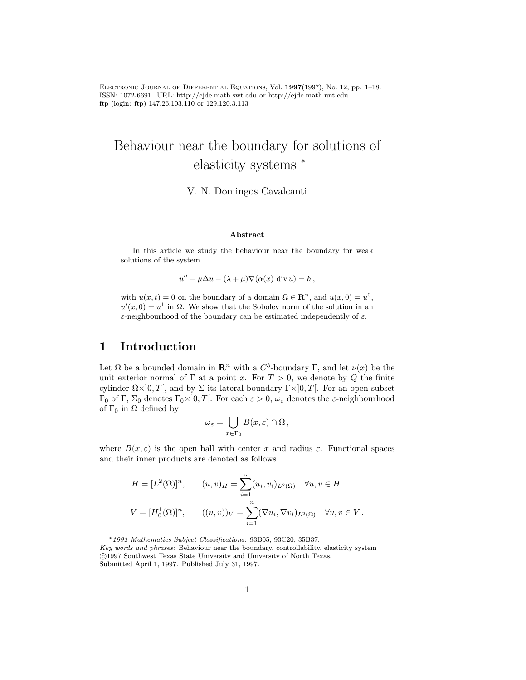Electronic Journal of Differential Equations, Vol. 1997(1997), No. 12, pp. 1–18. ISSN: 1072-6691. URL: http://ejde.math.swt.edu or http://ejde.math.unt.edu ftp (login: ftp) 147.26.103.110 or 129.120.3.113

# Behaviour near the boundary for solutions of elasticity systems <sup>∗</sup>

V. N. Domingos Cavalcanti

#### Abstract

In this article we study the behaviour near the boundary for weak solutions of the system

 $u'' - \mu \Delta u - (\lambda + \mu) \nabla (\alpha(x) \text{ div } u) = h,$ 

with  $u(x, t) = 0$  on the boundary of a domain  $\Omega \in \mathbb{R}^n$ , and  $u(x, 0) = u^0$ ,  $u'(x, 0) = u<sup>1</sup>$  in  $\Omega$ . We show that the Sobolev norm of the solution in an ε-neighbourhood of the boundary can be estimated independently of ε.

## 1 Introduction

Let  $\Omega$  be a bounded domain in  $\mathbb{R}^n$  with a  $C^3$ -boundary Γ, and let  $\nu(x)$  be the unit exterior normal of Γ at a point x. For  $T > 0$ , we denote by Q the finite cylinder  $\Omega \times ]0, T[$ , and by  $\Sigma$  its lateral boundary  $\Gamma \times ]0, T[$ . For an open subset Γ<sub>0</sub> of Γ, Σ<sub>0</sub> denotes Γ<sub>0</sub>×<sup>1</sup> $[0, T[$ . For each  $\varepsilon > 0$ ,  $\omega_{\varepsilon}$  denotes the  $\varepsilon$ -neighbourhood of  $\Gamma_0$  in  $\Omega$  defined by

$$
\omega_{\varepsilon} = \bigcup_{x \in \Gamma_0} B(x, \varepsilon) \cap \Omega,
$$

where  $B(x, \varepsilon)$  is the open ball with center x and radius  $\varepsilon$ . Functional spaces and their inner products are denoted as follows

$$
H = [L^{2}(\Omega)]^{n}, \qquad (u, v)_{H} = \sum_{i=1}^{n} (u_{i}, v_{i})_{L^{2}(\Omega)} \quad \forall u, v \in H
$$
  

$$
V = [H_{0}^{1}(\Omega)]^{n}, \qquad ((u, v))_{V} = \sum_{i=1}^{n} (\nabla u_{i}, \nabla v_{i})_{L^{2}(\Omega)} \quad \forall u, v \in V.
$$

<sup>∗</sup>1991 Mathematics Subject Classifications: 93B05, 93C20, 35B37.

Key words and phrases: Behaviour near the boundary, controllability, elasticity system c 1997 Southwest Texas State University and University of North Texas. Submitted April 1, 1997. Published July 31, 1997.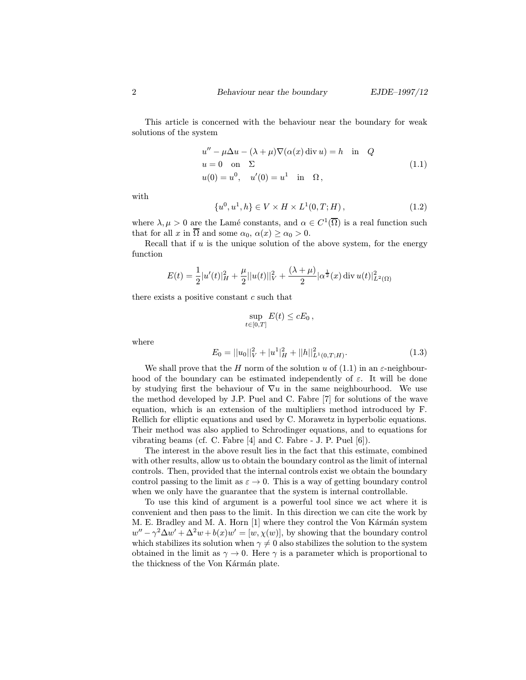This article is concerned with the behaviour near the boundary for weak solutions of the system

$$
u'' - \mu \Delta u - (\lambda + \mu) \nabla(\alpha(x) \operatorname{div} u) = h \quad \text{in} \quad Q
$$
  
 
$$
u = 0 \quad \text{on} \quad \Sigma
$$
  
 
$$
u(0) = u^0, \quad u'(0) = u^1 \quad \text{in} \quad \Omega,
$$
 (1.1)

with

$$
\{u^0, u^1, h\} \in V \times H \times L^1(0, T; H), \tag{1.2}
$$

where  $\lambda, \mu > 0$  are the Lamé constants, and  $\alpha \in C^1(\overline{\Omega})$  is a real function such that for all x in  $\overline{\Omega}$  and some  $\alpha_0, \alpha(x) \ge \alpha_0 > 0$ .

Recall that if  $u$  is the unique solution of the above system, for the energy function

$$
E(t) = \frac{1}{2}|u'(t)|_H^2 + \frac{\mu}{2}||u(t)||_V^2 + \frac{(\lambda + \mu)}{2}|\alpha^{\frac{1}{2}}(x) \operatorname{div} u(t)|_{L^2(\Omega)}^2
$$

there exists a positive constant  $c$  such that

$$
\sup_{t\in[0,T]}E(t)\leq cE_0,
$$

where

$$
E_0 = ||u_0||_V^2 + |u^1|_H^2 + ||h||_{L^1(0,T;H)}^2.
$$
\n(1.3)

We shall prove that the H norm of the solution u of  $(1.1)$  in an  $\varepsilon$ -neighbourhood of the boundary can be estimated independently of  $\varepsilon$ . It will be done by studying first the behaviour of  $\nabla u$  in the same neighbourhood. We use the method developed by J.P. Puel and C. Fabre [7] for solutions of the wave equation, which is an extension of the multipliers method introduced by F. Rellich for elliptic equations and used by C. Morawetz in hyperbolic equations. Their method was also applied to Schrodinger equations, and to equations for vibrating beams (cf. C. Fabre [4] and C. Fabre - J. P. Puel [6]).

The interest in the above result lies in the fact that this estimate, combined with other results, allow us to obtain the boundary control as the limit of internal controls. Then, provided that the internal controls exist we obtain the boundary control passing to the limit as  $\varepsilon \to 0$ . This is a way of getting boundary control when we only have the guarantee that the system is internal controllable.

To use this kind of argument is a powerful tool since we act where it is convenient and then pass to the limit. In this direction we can cite the work by M. E. Bradley and M. A. Horn [1] where they control the Von Kármán system  $w'' - \gamma^2 \Delta w' + \Delta^2 w + b(x)w' = [w, \chi(w)]$ , by showing that the boundary control which stabilizes its solution when  $\gamma \neq 0$  also stabilizes the solution to the system obtained in the limit as  $\gamma \to 0$ . Here  $\gamma$  is a parameter which is proportional to the thickness of the Von Karman plate.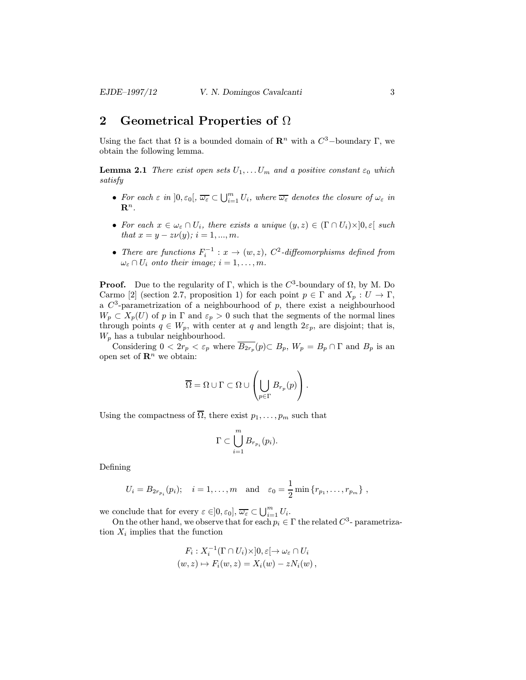# 2 Geometrical Properties of  $\Omega$

Using the fact that  $\Omega$  is a bounded domain of  $\mathbb{R}^n$  with a  $C^3$ -boundary  $\Gamma$ , we obtain the following lemma.

**Lemma 2.1** There exist open sets  $U_1, \ldots, U_m$  and a positive constant  $\varepsilon_0$  which satisfy

- For each  $\varepsilon$  in  $]0, \varepsilon_0[, \overline{\omega_{\varepsilon}} \subset \bigcup_{i=1}^m U_i$ , where  $\overline{\omega_{\varepsilon}}$  denotes the closure of  $\omega_{\varepsilon}$  in  $\mathbf{R}^n$ .
- For each  $x \in \omega_{\varepsilon} \cap U_i$ , there exists a unique  $(y, z) \in (\Gamma \cap U_i) \times ]0, \varepsilon[$  such that  $x = y - z\nu(y)$ ;  $i = 1, ..., m$ .
- There are functions  $F_i^{-1}: x \to (w, z)$ ,  $C^2$ -diffeomorphisms defined from  $\omega_{\varepsilon} \cap U_i$  onto their image;  $i = 1, \ldots, m$ .

**Proof.** Due to the regularity of Γ, which is the  $C^3$ -boundary of  $\Omega$ , by M. Do Carmo [2] (section 2.7, proposition 1) for each point  $p \in \Gamma$  and  $X_p : U \to \Gamma$ , a  $C^3$ -parametrization of a neighbourhood of p, there exist a neighbourhood  $W_p \subset X_p(U)$  of p in  $\Gamma$  and  $\varepsilon_p > 0$  such that the segments of the normal lines through points  $q \in W_p$ , with center at q and length  $2\varepsilon_p$ , are disjoint; that is,  $W_p$  has a tubular neighbourhood.

Considering  $0 < 2r_p < \varepsilon_p$  where  $\overline{B_{2r_p}}(p) \subset B_p$ ,  $W_p = B_p \cap \Gamma$  and  $B_p$  is an open set of  $\mathbb{R}^n$  we obtain:

$$
\overline{\Omega} = \Omega \cup \Gamma \subset \Omega \cup \left( \bigcup_{p \in \Gamma} B_{r_p}(p) \right).
$$

Using the compactness of  $\overline{\Omega}$ , there exist  $p_1,\ldots,p_m$  such that

$$
\Gamma \subset \bigcup_{i=1}^m B_{r_{p_i}}(p_i).
$$

Defining

$$
U_i = B_{2r_{p_i}}(p_i); \quad i = 1,...,m \text{ and } \varepsilon_0 = \frac{1}{2} \min \{r_{p_1},..., r_{p_m}\},
$$

we conclude that for every  $\varepsilon \in ]0, \varepsilon_0], \overline{\omega_{\varepsilon}} \subset \bigcup_{i=1}^m U_i$ .

On the other hand, we observe that for each  $p_i \in \Gamma$  the related  $C^3$ - parametrization  $X_i$  implies that the function

$$
F_i: X_i^{-1}(\Gamma \cap U_i) \times ]0, \varepsilon[ \to \omega_{\varepsilon} \cap U_i
$$
  

$$
(w, z) \mapsto F_i(w, z) = X_i(w) - zN_i(w),
$$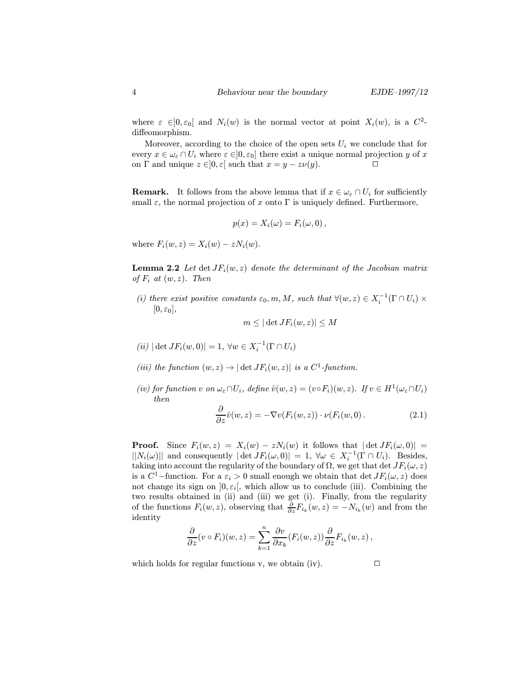where  $\varepsilon \in ]0, \varepsilon_0[$  and  $N_i(w)$  is the normal vector at point  $X_i(w)$ , is a  $C^2$ diffeomorphism.

Moreover, according to the choice of the open sets  $U_i$  we conclude that for every  $x \in \omega_{\varepsilon} \cap U_i$  where  $\varepsilon \in ]0, \varepsilon_0]$  there exist a unique normal projection y of x on  $\Gamma$  and unique  $z \in ]0, \varepsilon[$  such that  $x = y - z\nu(y)$ .  $\Box$ 

**Remark.** It follows from the above lemma that if  $x \in \omega_{\varepsilon} \cap U_i$  for sufficiently small  $\varepsilon$ , the normal projection of x onto  $\Gamma$  is uniquely defined. Furthermore,

$$
p(x) = X_i(\omega) = F_i(\omega, 0),
$$

where  $F_i(w, z) = X_i(w) - zN_i(w)$ .

**Lemma 2.2** Let det  $JF_i(w, z)$  denote the determinant of the Jacobian matrix of  $F_i$  at  $(w, z)$ . Then

(i) there exist positive constants  $\varepsilon_0, m, M$ , such that  $\forall (w, z) \in X_i^{-1}(\Gamma \cap U_i) \times$  $[0, \varepsilon_0],$ 

$$
m \leq |\det JF_i(w,z)| \leq M
$$

- $(iii) | \det JF_i(w, 0)| = 1, \,\forall w \in X_i^{-1}(\Gamma \cap U_i)$
- (iii) the function  $(w, z) \rightarrow |\det J F_i(w, z)|$  is a  $C^1$ -function.
- (iv) for function v on  $\omega_{\varepsilon} \cap U_i$ , define  $\hat{v}(w, z)=(v \circ F_i)(w, z)$ . If  $v \in H^1(\omega_{\varepsilon} \cap U_i)$ then

$$
\frac{\partial}{\partial z}\hat{v}(w,z) = -\nabla v(F_i(w,z)) \cdot \nu(F_i(w,0). \qquad (2.1)
$$

**Proof.** Since  $F_i(w, z) = X_i(w) - zN_i(w)$  it follows that  $|\det JF_i(\omega, 0)| =$  $||N_i(\omega)||$  and consequently  $|\det JF_i(\omega, 0)| = 1$ ,  $\forall \omega \in X_i^{-1}(\Gamma \cap U_i)$ . Besides, taking into account the regularity of the boundary of  $\Omega$ , we get that det  $JF_i(\omega, z)$ is a  $C^1$ -function. For a  $\varepsilon_i > 0$  small enough we obtain that det  $JF_i(\omega, z)$  does not change its sign on  $]0, \varepsilon_i[$ , which allow us to conclude (iii). Combining the two results obtained in (ii) and (iii) we get (i). Finally, from the regularity of the functions  $F_i(w, z)$ , observing that  $\frac{\partial}{\partial z} F_{i_k}(w, z) = -N_{i_k}(w)$  and from the identity

$$
\frac{\partial}{\partial z}(v \circ F_i)(w, z) = \sum_{k=1}^n \frac{\partial v}{\partial x_k}(F_i(w, z)) \frac{\partial}{\partial z} F_{i_k}(w, z) ,
$$

which holds for regular functions v, we obtain (iv).  $\Box$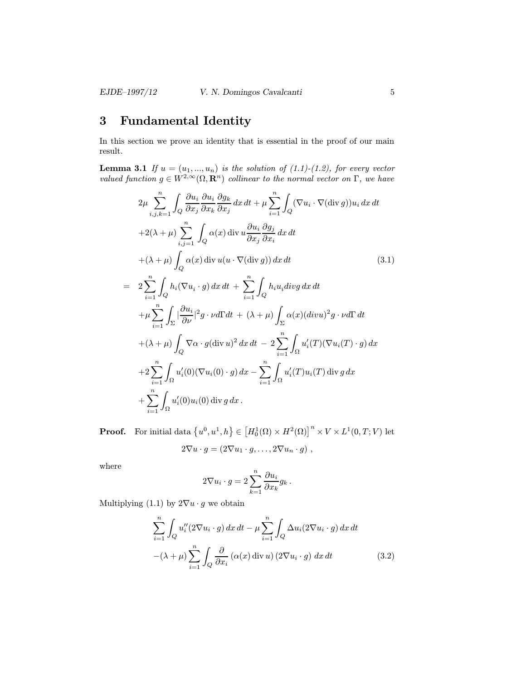### EJDE–1997/12 V. N. Domingos Cavalcanti 5

# 3 Fundamental Identity

In this section we prove an identity that is essential in the proof of our main result.

**Lemma 3.1** If  $u = (u_1, ..., u_n)$  is the solution of  $(1.1)-(1.2)$ , for every vector valued function  $g \in W^{2,\infty}(\Omega,\mathbf{R}^n)$  collinear to the normal vector on  $\Gamma$ , we have

$$
2\mu \sum_{i,j,k=1}^{n} \int_{Q} \frac{\partial u_{i}}{\partial x_{j}} \frac{\partial u_{i}}{\partial x_{k}} \frac{\partial g_{k}}{\partial x_{j}} dx dt + \mu \sum_{i=1}^{n} \int_{Q} (\nabla u_{i} \cdot \nabla (\text{div } g)) u_{i} dx dt
$$
  
+2(\lambda + \mu)  $\sum_{i,j=1}^{n} \int_{Q} \alpha(x) \text{ div } u \frac{\partial u_{i}}{\partial x_{j}} \frac{\partial g_{j}}{\partial x_{i}} dx dt$   
+ (\lambda + \mu)  $\int_{Q} \alpha(x) \text{ div } u(u \cdot \nabla (\text{div } g)) dx dt$  (3.1)  
=  $2 \sum_{i=1}^{n} \int_{Q} h_{i} (\nabla u_{i} \cdot g) dx dt + \sum_{i=1}^{n} \int_{Q} h_{i} u_{i} div g dx dt$   
+ \mu  $\sum_{i=1}^{n} \int_{\Sigma} |\frac{\partial u_{i}}{\partial \nu}|^{2} g \cdot \nu d\Gamma dt + (\lambda + \mu) \int_{\Sigma} \alpha(x) (div u)^{2} g \cdot \nu d\Gamma dt$   
+ (\lambda + \mu)  $\int_{Q} \nabla \alpha \cdot g (\text{div } u)^{2} dx dt - 2 \sum_{i=1}^{n} \int_{\Omega} u'_{i}(T) (\nabla u_{i}(T) \cdot g) dx$   
+2  $\sum_{i=1}^{n} \int_{\Omega} u'_{i}(0) (\nabla u_{i}(0) \cdot g) dx - \sum_{i=1}^{n} \int_{\Omega} u'_{i}(T) u_{i}(T) \text{ div } g dx$   
+ $\sum_{i=1}^{n} \int_{\Omega} u'_{i}(0) u_{i}(0) \text{ div } g dx$ .

**Proof.** For initial data  $\{u^0, u^1, h\} \in \left[H_0^1(\Omega) \times H^2(\Omega)\right]^n \times V \times L^1(0, T; V)$  let

$$
2\nabla u \cdot g = (2\nabla u_1 \cdot g, \dots, 2\nabla u_n \cdot g) ,
$$

where

$$
2\nabla u_i \cdot g = 2\sum_{k=1}^n \frac{\partial u_i}{\partial x_k} g_k.
$$

Multiplying (1.1) by  $2\nabla u \cdot g$  we obtain

$$
\sum_{i=1}^{n} \int_{Q} u_{i}''(2\nabla u_{i} \cdot g) dx dt - \mu \sum_{i=1}^{n} \int_{Q} \Delta u_{i}(2\nabla u_{i} \cdot g) dx dt
$$

$$
-(\lambda + \mu) \sum_{i=1}^{n} \int_{Q} \frac{\partial}{\partial x_{i}} (\alpha(x) \operatorname{div} u) (2\nabla u_{i} \cdot g) dx dt
$$
(3.2)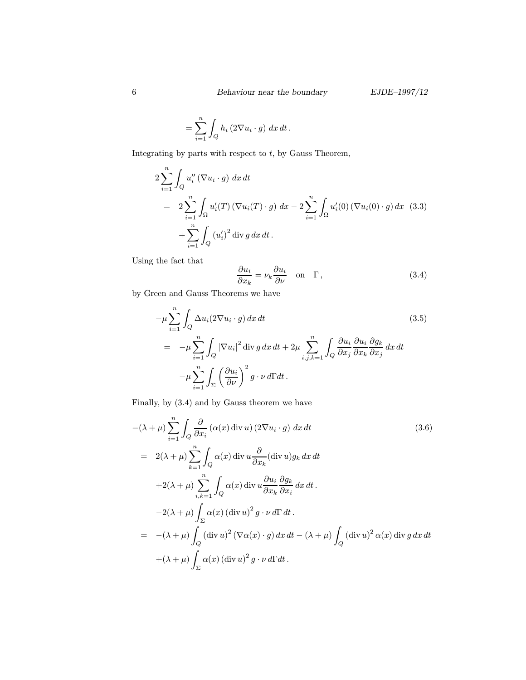$$
= \sum_{i=1}^{n} \int_{Q} h_i(2\nabla u_i \cdot g) \, dx \, dt \, .
$$

Integrating by parts with respect to  $t$ , by Gauss Theorem,

$$
2\sum_{i=1}^{n} \int_{Q} u_{i}''(\nabla u_{i} \cdot g) \, dx \, dt
$$
  
= 
$$
2\sum_{i=1}^{n} \int_{\Omega} u_{i}'(T) (\nabla u_{i}(T) \cdot g) \, dx - 2\sum_{i=1}^{n} \int_{\Omega} u_{i}'(0) (\nabla u_{i}(0) \cdot g) \, dx \quad (3.3)
$$
  
+ 
$$
\sum_{i=1}^{n} \int_{Q} (u_{i}')^{2} \operatorname{div} g \, dx \, dt.
$$

Using the fact that

$$
\frac{\partial u_i}{\partial x_k} = \nu_k \frac{\partial u_i}{\partial \nu} \quad \text{on} \quad \Gamma \,, \tag{3.4}
$$

by Green and Gauss Theorems we have

$$
-\mu \sum_{i=1}^{n} \int_{Q} \Delta u_{i} (2\nabla u_{i} \cdot g) dx dt
$$
\n
$$
= -\mu \sum_{i=1}^{n} \int_{Q} |\nabla u_{i}|^{2} \operatorname{div} g dx dt + 2\mu \sum_{i,j,k=1}^{n} \int_{Q} \frac{\partial u_{i}}{\partial x_{j}} \frac{\partial u_{i}}{\partial x_{k}} \frac{\partial g_{k}}{\partial x_{j}} dx dt
$$
\n
$$
-\mu \sum_{i=1}^{n} \int_{\Sigma} \left(\frac{\partial u_{i}}{\partial \nu}\right)^{2} g \cdot \nu d\Gamma dt.
$$
\n(3.5)

Finally, by (3.4) and by Gauss theorem we have

$$
-(\lambda + \mu) \sum_{i=1}^{n} \int_{Q} \frac{\partial}{\partial x_{i}} (\alpha(x) \operatorname{div} u) (2\nabla u_{i} \cdot g) dx dt
$$
\n
$$
= 2(\lambda + \mu) \sum_{k=1}^{n} \int_{Q} \alpha(x) \operatorname{div} u \frac{\partial}{\partial x_{k}} (\operatorname{div} u) g_{k} dx dt
$$
\n
$$
+ 2(\lambda + \mu) \sum_{i,k=1}^{n} \int_{Q} \alpha(x) \operatorname{div} u \frac{\partial u_{i}}{\partial x_{k}} \frac{\partial g_{k}}{\partial x_{i}} dx dt.
$$
\n
$$
- 2(\lambda + \mu) \int_{\Sigma} \alpha(x) (\operatorname{div} u)^{2} g \cdot \nu d\Gamma dt.
$$
\n
$$
= -(\lambda + \mu) \int_{Q} (\operatorname{div} u)^{2} (\nabla \alpha(x) \cdot g) dx dt - (\lambda + \mu) \int_{Q} (\operatorname{div} u)^{2} \alpha(x) \operatorname{div} g dx dt
$$
\n
$$
+ (\lambda + \mu) \int_{\Sigma} \alpha(x) (\operatorname{div} u)^{2} g \cdot \nu d\Gamma dt.
$$
\n(3.6)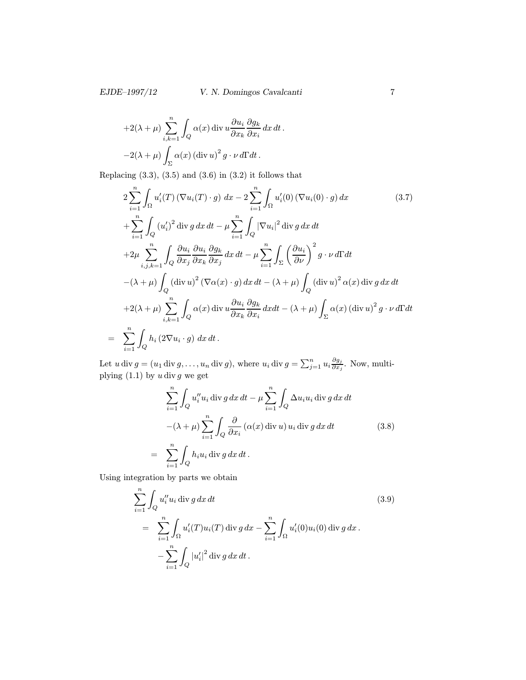### EJDE–1997/12 V. N. Domingos Cavalcanti 7

 $\ddot{\phantom{a}}$ 

+2(
$$
\lambda
$$
 +  $\mu$ )  $\sum_{i,k=1}^{n} \int_{Q} \alpha(x) \operatorname{div} u \frac{\partial u_{i}}{\partial x_{k}} \frac{\partial g_{k}}{\partial x_{i}} dx dt$   
-2( $\lambda$  +  $\mu$ )  $\int_{\Sigma} \alpha(x) (\operatorname{div} u)^{2} g \cdot \nu d\Gamma dt$ .

Replacing  $(3.3)$ ,  $(3.5)$  and  $(3.6)$  in  $(3.2)$  it follows that

$$
2\sum_{i=1}^{n} \int_{\Omega} u'_{i}(T) \left(\nabla u_{i}(T) \cdot g\right) dx - 2\sum_{i=1}^{n} \int_{\Omega} u'_{i}(0) \left(\nabla u_{i}(0) \cdot g\right) dx \qquad (3.7)
$$
  
+
$$
\sum_{i=1}^{n} \int_{Q} (u'_{i})^{2} \operatorname{div} g \, dx \, dt - \mu \sum_{i=1}^{n} \int_{Q} \left|\nabla u_{i}\right|^{2} \operatorname{div} g \, dx \, dt
$$
  
+
$$
2\mu \sum_{i,j,k=1}^{n} \int_{Q} \frac{\partial u_{i}}{\partial x_{j}} \frac{\partial u_{i}}{\partial x_{k}} \frac{\partial g_{k}}{\partial x_{j}} dx \, dt - \mu \sum_{i=1}^{n} \int_{\Sigma} \left(\frac{\partial u_{i}}{\partial \nu}\right)^{2} g \cdot \nu \, d\Gamma dt
$$
  
-
$$
(\lambda + \mu) \int_{Q} (\operatorname{div} u)^{2} \left(\nabla \alpha(x) \cdot g\right) dx \, dt - (\lambda + \mu) \int_{Q} (\operatorname{div} u)^{2} \alpha(x) \operatorname{div} g \, dx \, dt
$$
  
+
$$
2(\lambda + \mu) \sum_{i,k=1}^{n} \int_{Q} \alpha(x) \operatorname{div} u \frac{\partial u_{i}}{\partial x_{k}} \frac{\partial g_{k}}{\partial x_{i}} dx dt - (\lambda + \mu) \int_{\Sigma} \alpha(x) \left(\operatorname{div} u\right)^{2} g \cdot \nu \, d\Gamma dt
$$
  
=
$$
\sum_{i=1}^{n} \int_{Q} h_{i} \left(2 \nabla u_{i} \cdot g\right) dx \, dt.
$$
 (3.7)

Let  $u \, \text{div} \, g = (u_1 \, \text{div} \, g, \dots, u_n \, \text{div} \, g)$ , where  $u_i \, \text{div} \, g = \sum_{j=1}^n u_i \frac{\partial g_j}{\partial x_j}$ . Now, multiplying  $(1.1)$  by u div g we get

$$
\sum_{i=1}^{n} \int_{Q} u_{i}'' u_{i} \operatorname{div} g \, dx \, dt - \mu \sum_{i=1}^{n} \int_{Q} \Delta u_{i} u_{i} \operatorname{div} g \, dx \, dt
$$

$$
-(\lambda + \mu) \sum_{i=1}^{n} \int_{Q} \frac{\partial}{\partial x_{i}} (\alpha(x) \operatorname{div} u) u_{i} \operatorname{div} g \, dx \, dt \qquad (3.8)
$$

$$
= \sum_{i=1}^{n} \int_{Q} h_{i} u_{i} \operatorname{div} g \, dx \, dt.
$$

Using integration by parts we obtain

$$
\sum_{i=1}^{n} \int_{Q} u_{i}'' u_{i} \operatorname{div} g \, dx \, dt
$$
\n
$$
= \sum_{i=1}^{n} \int_{\Omega} u_{i}'(T) u_{i}(T) \operatorname{div} g \, dx - \sum_{i=1}^{n} \int_{\Omega} u_{i}'(0) u_{i}(0) \operatorname{div} g \, dx.
$$
\n
$$
- \sum_{i=1}^{n} \int_{Q} |u_{i}'|^{2} \operatorname{div} g \, dx \, dt.
$$
\n(3.9)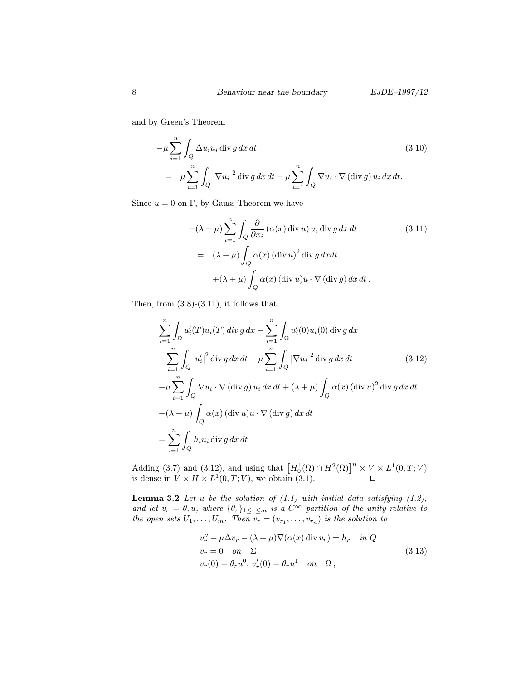and by Green's Theorem

$$
-\mu \sum_{i=1}^{n} \int_{Q} \Delta u_{i} u_{i} \operatorname{div} g \, dx \, dt
$$
\n
$$
= \mu \sum_{i=1}^{n} \int_{Q} |\nabla u_{i}|^{2} \operatorname{div} g \, dx \, dt + \mu \sum_{i=1}^{n} \int_{Q} \nabla u_{i} \cdot \nabla (\operatorname{div} g) u_{i} \, dx \, dt.
$$
\n(3.10)

Since  $u = 0$  on Γ, by Gauss Theorem we have

$$
-(\lambda + \mu) \sum_{i=1}^{n} \int_{Q} \frac{\partial}{\partial x_{i}} (\alpha(x) \operatorname{div} u) u_{i} \operatorname{div} g dx dt
$$
\n
$$
= (\lambda + \mu) \int_{Q} \alpha(x) (\operatorname{div} u)^{2} \operatorname{div} g dx dt
$$
\n
$$
+ (\lambda + \mu) \int_{Q} \alpha(x) (\operatorname{div} u) u \cdot \nabla (\operatorname{div} g) dx dt.
$$
\n(3.11)

Then, from  $(3.8)-(3.11)$ , it follows that

$$
\sum_{i=1}^{n} \int_{\Omega} u'_i(T) u_i(T) \operatorname{div} g \, dx - \sum_{i=1}^{n} \int_{\Omega} u'_i(0) u_i(0) \operatorname{div} g \, dx
$$
  
\n
$$
- \sum_{i=1}^{n} \int_{Q} |u'_i|^2 \operatorname{div} g \, dx \, dt + \mu \sum_{i=1}^{n} \int_{Q} |\nabla u_i|^2 \operatorname{div} g \, dx \, dt \qquad (3.12)
$$
  
\n
$$
+ \mu \sum_{i=1}^{n} \int_{Q} \nabla u_i \cdot \nabla (\operatorname{div} g) u_i \, dx \, dt + (\lambda + \mu) \int_{Q} \alpha(x) (\operatorname{div} u)^2 \operatorname{div} g \, dx \, dt
$$
  
\n
$$
+ (\lambda + \mu) \int_{Q} \alpha(x) (\operatorname{div} u) u \cdot \nabla (\operatorname{div} g) \, dx \, dt
$$
  
\n
$$
= \sum_{i=1}^{n} \int_{Q} h_i u_i \operatorname{div} g \, dx \, dt
$$

Adding (3.7) and (3.12), and using that  $\left[H_0^1(\Omega) \cap H^2(\Omega)\right]^n \times V \times L^1(0,T;V)$ is dense in  $V \times H \times L^1(0,T;V)$ , we obtain (3.1).

**Lemma 3.2** Let u be the solution of  $(1.1)$  with initial data satisfying  $(1.2)$ , and let  $v_r = \theta_r u$ , where  $\{\theta_r\}_{1 \leq r \leq m}$  is a  $C^{\infty}$  partition of the unity relative to the open sets  $U_1, \ldots, U_m$ . Then  $v_r = (v_{r_1}, \ldots, v_{r_n})$  is the solution to

$$
v_r'' - \mu \Delta v_r - (\lambda + \mu) \nabla(\alpha(x) \operatorname{div} v_r) = h_r \quad in \ Q
$$
  

$$
v_r = 0 \quad on \quad \Sigma
$$
  

$$
v_r(0) = \theta_r u^0, v_r'(0) = \theta_r u^1 \quad on \quad \Omega,
$$
  
(3.13)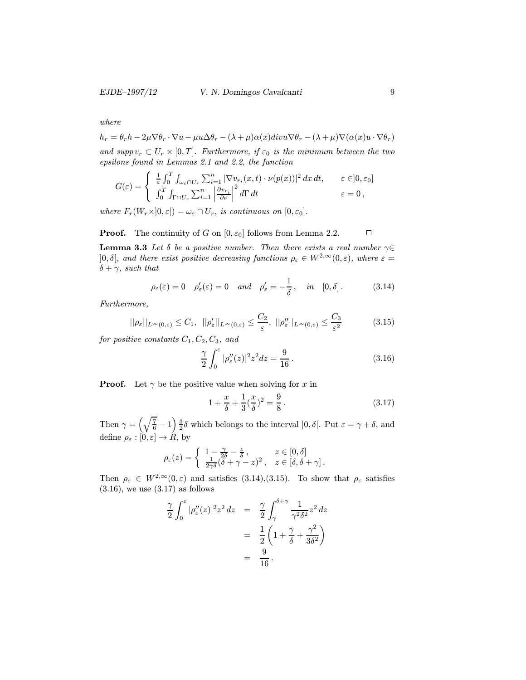where

$$
h_r = \theta_r h - 2\mu \nabla \theta_r \cdot \nabla u - \mu u \Delta \theta_r - (\lambda + \mu) \alpha(x) \operatorname{div} u \nabla \theta_r - (\lambda + \mu) \nabla (\alpha(x) u \cdot \nabla \theta_r)
$$

and supp  $v_r \subset U_r \times [0,T]$ . Furthermore, if  $\varepsilon_0$  is the minimum between the two epsilons found in Lemmas 2.1 and 2.2, the function

$$
G(\varepsilon) = \begin{cases} \frac{1}{\varepsilon} \int_0^T \int_{\omega_\varepsilon \cap U_r} \sum_{i=1}^n |\nabla v_{r_i}(x, t) \cdot \nu(p(x))|^2 dx dt, & \varepsilon \in ]0, \varepsilon_0] \\ \int_0^T \int_{\Gamma \cap U_r} \sum_{i=1}^n \left| \frac{\partial v_{r_i}}{\partial \nu} \right|^2 d\Gamma dt & \varepsilon = 0, \end{cases}
$$

where  $F_r(W_r\times]0,\varepsilon[)=\omega_{\varepsilon}\cap U_r$ , is continuous on  $[0,\varepsilon_0]$ .

### **Proof.** The continuity of G on  $[0, \varepsilon_0]$  follows from Lemma 2.2.  $\Box$

**Lemma 3.3** Let  $\delta$  be a positive number. Then there exists a real number  $\gamma \in$  $]0, \delta[,$  and there exist positive decreasing functions  $\rho_{\varepsilon} \in W^{2,\infty}(0,\varepsilon),$  where  $\varepsilon =$  $\delta + \gamma$ , such that

$$
\rho_{\varepsilon}(\varepsilon) = 0 \quad \rho'_{\varepsilon}(\varepsilon) = 0 \quad and \quad \rho'_{\varepsilon} = -\frac{1}{\delta}, \quad in \quad [0, \delta].
$$
\n(3.14)

Furthermore,

$$
||\rho_{\varepsilon}||_{L^{\infty}(0,\varepsilon)} \leq C_1, \quad ||\rho_{\varepsilon}'||_{L^{\infty}(0,\varepsilon)} \leq \frac{C_2}{\varepsilon}, \quad ||\rho_{\varepsilon}''||_{L^{\infty}(0,\varepsilon)} \leq \frac{C_3}{\varepsilon^2}
$$
(3.15)

for positive constants  $C_1, C_2, C_3,$  and

$$
\frac{\gamma}{2} \int_0^\varepsilon |\rho''_\varepsilon(z)|^2 z^2 dz = \frac{9}{16} \,. \tag{3.16}
$$

**Proof.** Let  $\gamma$  be the positive value when solving for x in

$$
1 + \frac{x}{\delta} + \frac{1}{3}(\frac{x}{\delta})^2 = \frac{9}{8}.
$$
 (3.17)

Then  $\gamma = \left(\sqrt{\frac{7}{6}} - 1\right) \frac{3}{2} \delta$  which belongs to the interval  $]0, \delta[$ . Put  $\varepsilon = \gamma + \delta$ , and define  $\rho_{\varepsilon} : [0, \varepsilon] \to \mathring{R}$ , by

$$
\rho_{\varepsilon}(z) = \begin{cases} 1 - \frac{\gamma}{2\delta} - \frac{z}{\delta} \,, & z \in [0, \delta] \\ \frac{1}{2\gamma\delta}(\delta + \gamma - z)^2 \,, & z \in [\delta, \delta + \gamma] \,. \end{cases}
$$

Then  $\rho_{\varepsilon} \in W^{2,\infty}(0,\varepsilon)$  and satisfies (3.14), (3.15). To show that  $\rho_{\varepsilon}$  satisfies  $(3.16)$ , we use  $(3.17)$  as follows

$$
\frac{\gamma}{2} \int_0^{\varepsilon} |\rho_{\varepsilon}''(z)|^2 z^2 dz = \frac{\gamma}{2} \int_{\gamma}^{\delta + \gamma} \frac{1}{\gamma^2 \delta^2} z^2 dz
$$

$$
= \frac{1}{2} \left( 1 + \frac{\gamma}{\delta} + \frac{\gamma^2}{3\delta^2} \right)
$$

$$
= \frac{9}{16}.
$$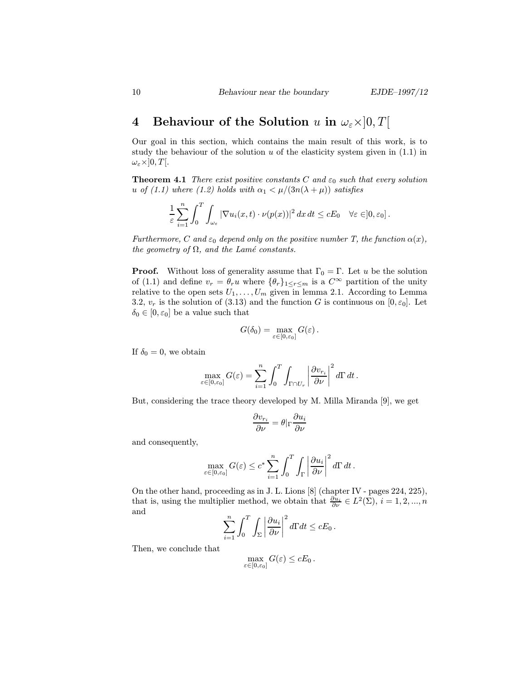# 4 Behaviour of the Solution u in  $\omega_{\varepsilon} \times ]0, T[$

Our goal in this section, which contains the main result of this work, is to study the behaviour of the solution  $u$  of the elasticity system given in  $(1.1)$  in  $\omega_{\varepsilon} \times ]0,T[.$ 

**Theorem 4.1** There exist positive constants C and  $\varepsilon_0$  such that every solution u of (1.1) where (1.2) holds with  $\alpha_1 < \mu/(3n(\lambda + \mu))$  satisfies

$$
\frac{1}{\varepsilon} \sum_{i=1}^n \int_0^T \int_{\omega_\varepsilon} |\nabla u_i(x,t) \cdot \nu(p(x))|^2 dx dt \le cE_0 \quad \forall \varepsilon \in ]0,\varepsilon_0].
$$

Furthermore, C and  $\varepsilon_0$  depend only on the positive number T, the function  $\alpha(x)$ , the geometry of  $\Omega$ , and the Lamé constants.

**Proof.** Without loss of generality assume that  $\Gamma_0 = \Gamma$ . Let u be the solution of (1.1) and define  $v_r = \theta_r u$  where  $\{\theta_r\}_{1 \leq r \leq m}$  is a  $C^{\infty}$  partition of the unity relative to the open sets  $U_1, \ldots, U_m$  given in lemma 2.1. According to Lemma 3.2,  $v_r$  is the solution of (3.13) and the function G is continuous on  $[0, \varepsilon_0]$ . Let  $\delta_0 \in [0, \varepsilon_0]$  be a value such that

$$
G(\delta_0)=\max_{\varepsilon\in[0,\varepsilon_0]}G(\varepsilon)\,.
$$

If  $\delta_0 = 0$ , we obtain

$$
\max_{\varepsilon \in [0, \varepsilon_0]} G(\varepsilon) = \sum_{i=1}^n \int_0^T \int_{\Gamma \cap U_r} \left| \frac{\partial v_{r_i}}{\partial \nu} \right|^2 d\Gamma dt.
$$

But, considering the trace theory developed by M. Milla Miranda [9], we get

$$
\frac{\partial v_{r_i}}{\partial \nu} = \theta|_{\Gamma} \frac{\partial u_i}{\partial \nu}
$$

and consequently,

$$
\max_{\varepsilon \in [0, \varepsilon_0]} G(\varepsilon) \le c^* \sum_{i=1}^n \int_0^T \int_\Gamma \left| \frac{\partial u_i}{\partial \nu} \right|^2 d\Gamma dt.
$$

On the other hand, proceeding as in J. L. Lions [8] (chapter IV - pages 224, 225), that is, using the multiplier method, we obtain that  $\frac{\partial u_i}{\partial \nu} \in L^2(\Sigma)$ ,  $i = 1, 2, ..., n$ and

$$
\sum_{i=1}^n \int_0^T \int_{\Sigma} \left| \frac{\partial u_i}{\partial \nu} \right|^2 d\Gamma dt \leq cE_0.
$$

Then, we conclude that

$$
\max_{\varepsilon \in [0,\varepsilon_0]} G(\varepsilon) \leq cE_0.
$$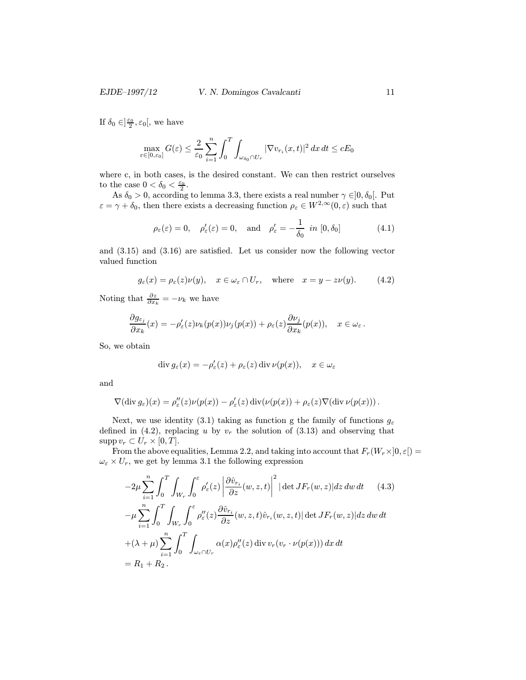If  $\delta_0 \in ]\frac{\varepsilon_0}{2}, \varepsilon_0[$ , we have

$$
\max_{\varepsilon \in [0, \varepsilon_0]} G(\varepsilon) \le \frac{2}{\varepsilon_0} \sum_{i=1}^n \int_0^T \int_{\omega_{\delta_0} \cap U_r} |\nabla v_{r_i}(x, t)|^2 dx dt \le cE_0
$$

where c, in both cases, is the desired constant. We can then restrict ourselves to the case  $0 < \delta_0 < \frac{\varepsilon_0}{2}$ .

As  $\delta_0 > 0$ , according to lemma 3.3, there exists a real number  $\gamma \in ]0, \delta_0[$ . Put  $\varepsilon = \gamma + \delta_0$ , then there exists a decreasing function  $\rho_{\varepsilon} \in W^{2,\infty}(0,\varepsilon)$  such that

$$
\rho_{\varepsilon}(\varepsilon) = 0, \quad \rho'_{\varepsilon}(\varepsilon) = 0, \quad \text{and} \quad \rho'_{\varepsilon} = -\frac{1}{\delta_0} \text{ in } [0, \delta_0]
$$
\n(4.1)

and (3.15) and (3.16) are satisfied. Let us consider now the following vector valued function

$$
g_{\varepsilon}(x) = \rho_{\varepsilon}(z)\nu(y), \quad x \in \omega_{\varepsilon} \cap U_r, \quad \text{where} \quad x = y - z\nu(y). \tag{4.2}
$$

Noting that  $\frac{\partial z}{\partial x_k} = -\nu_k$  we have

$$
\frac{\partial g_{\varepsilon_j}}{\partial x_k}(x) = -\rho_{\varepsilon}'(z)\nu_k(p(x))\nu_j(p(x)) + \rho_{\varepsilon}(z)\frac{\partial \nu_j}{\partial x_k}(p(x)), \quad x \in \omega_{\varepsilon}.
$$

So, we obtain

$$
\operatorname{div} g_{\varepsilon}(x) = -\rho_{\varepsilon}'(z) + \rho_{\varepsilon}(z) \operatorname{div} \nu(p(x)), \quad x \in \omega_{\varepsilon}
$$

and

$$
\nabla(\text{div } g_{\varepsilon})(x) = \rho_{\varepsilon}''(z)\nu(p(x)) - \rho_{\varepsilon}'(z)\,\text{div}(\nu(p(x)) + \rho_{\varepsilon}(z)\nabla(\text{div }\nu(p(x))).
$$

Next, we use identity (3.1) taking as function g the family of functions  $g_{\varepsilon}$ defined in (4.2), replacing u by  $v_r$  the solution of (3.13) and observing that  $\text{supp } v_r \subset U_r \times [0,T].$ 

From the above equalities, Lemma 2.2, and taking into account that  $F_r(W_r\times]0,\varepsilon$  =  $\omega_\varepsilon \times U_r,$  we get by lemma 3.1 the following expression

$$
-2\mu \sum_{i=1}^{n} \int_{0}^{T} \int_{W_{r}} \int_{0}^{\varepsilon} \rho_{\varepsilon}'(z) \left| \frac{\partial \hat{v}_{r_{i}}}{\partial z}(w, z, t) \right|^{2} |\det JF_{r}(w, z)| dz dw dt \qquad (4.3)
$$

$$
-\mu \sum_{i=1}^{n} \int_{0}^{T} \int_{W_{r}} \int_{0}^{\varepsilon} \rho_{\varepsilon}''(z) \frac{\partial \hat{v}_{r_{i}}}{\partial z}(w, z, t) \hat{v}_{r_{i}}(w, z, t) |\det JF_{r}(w, z)| dz dw dt
$$

$$
+(\lambda + \mu) \sum_{i=1}^{n} \int_{0}^{T} \int_{\omega_{\varepsilon} \cap U_{r}} \alpha(x) \rho_{\varepsilon}''(z) \operatorname{div} v_{r}(v_{r} \cdot \nu(p(x))) dx dt
$$

$$
= R_{1} + R_{2}.
$$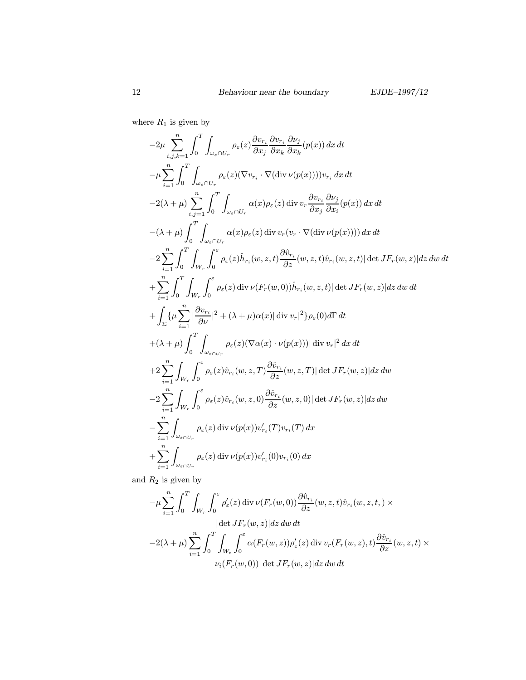where  $R_1$  is given by

$$
-2\mu \sum_{i,j,k=1}^{n} \int_{0}^{T} \int_{\omega_{\varepsilon} \cap U_{r}} \rho_{\varepsilon}(z) \frac{\partial v_{r_{i}}}{\partial x_{j}} \frac{\partial v_{r_{i}}}{\partial x_{k}} \frac{\partial v_{j}}{\partial x_{k}} (p(x)) dx dt
$$
  
\n
$$
-\mu \sum_{i=1}^{n} \int_{0}^{T} \int_{\omega_{\varepsilon} \cap U_{r}} \rho_{\varepsilon}(z) (\nabla v_{r_{i}} \cdot \nabla(\text{div} \nu(p(x)))) v_{r_{i}} dx dt
$$
  
\n
$$
-2(\lambda + \mu) \int_{i,j=1}^{n} \int_{0}^{T} \int_{\omega_{\varepsilon} \cap U_{r}} \alpha(x) \rho_{\varepsilon}(z) \, \text{div} \, v_{r} \frac{\partial v_{r_{i}}}{\partial x_{j}} \frac{\partial v_{j}}{\partial x_{i}} (p(x)) dx dt
$$
  
\n
$$
-(\lambda + \mu) \int_{0}^{T} \int_{\omega_{\varepsilon} \cap U_{r}} \alpha(x) \rho_{\varepsilon}(z) \, \text{div} \, v_{r} (v_{r} \cdot \nabla(\text{div} \nu(p(x)))) dx dt
$$
  
\n
$$
-2 \sum_{i=1}^{n} \int_{0}^{T} \int_{W_{r}} \int_{0}^{\varepsilon} \rho_{\varepsilon}(z) \hat{h}_{r_{i}}(w, z, t) \frac{\partial \hat{v}_{r_{i}}}{\partial z}(w, z, t) \hat{v}_{r_{i}}(w, z, t) | \det JF_{r}(w, z)| dz dw dt
$$
  
\n
$$
+ \sum_{i=1}^{n} \int_{0}^{T} \int_{W_{r}} \int_{0}^{\varepsilon} \rho_{\varepsilon}(z) \, \text{div} \nu(F_{r}(w, 0)) \hat{h}_{r_{i}}(w, z, t) | \det JF_{r}(w, z)| dz dw dt
$$
  
\n
$$
+ \int_{\Sigma} \{ \mu \sum_{i=1}^{n} \left| \frac{\partial v_{r_{i}}}{\partial \nu} \right|^{2} + (\lambda + \mu) \alpha(x) || \operatorname{div} v_{r}|^{2} \} \rho_{\varepsilon}(0) d\Gamma dt
$$
  
\n $$ 

and  $\mathcal{R}_2$  is given by

$$
-\mu \sum_{i=1}^{n} \int_{0}^{T} \int_{W_{r}} \int_{0}^{\varepsilon} \rho_{\varepsilon}'(z) \operatorname{div} \nu(F_{r}(w,0)) \frac{\partial \hat{v}_{r_{i}}}{\partial z}(w,z,t) \hat{v}_{r_{i}}(w,z,t,)\times
$$
  
\n
$$
|\det JF_{r}(w,z)| dz dw dt
$$
  
\n
$$
-2(\lambda + \mu) \sum_{i=1}^{n} \int_{0}^{T} \int_{W_{r}} \int_{0}^{\varepsilon} \alpha(F_{r}(w,z)) \rho_{\varepsilon}'(z) \operatorname{div} v_{r}(F_{r}(w,z),t) \frac{\partial \hat{v}_{r_{i}}}{\partial z}(w,z,t) \times
$$
  
\n
$$
\nu_{i}(F_{r}(w,0)) |\det JF_{r}(w,z)| dz dw dt
$$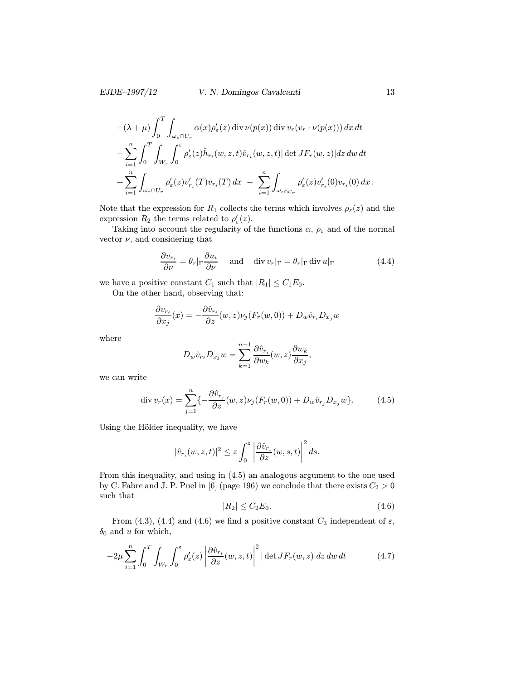#### EJDE–1997/12 V. N. Domingos Cavalcanti 13

$$
+(\lambda + \mu) \int_0^T \int_{\omega_{\varepsilon} \cap U_r} \alpha(x) \rho_{\varepsilon}'(z) \operatorname{div} \nu(p(x)) \operatorname{div} v_r(v_r \cdot \nu(p(x))) dx dt - \sum_{i=1}^n \int_0^T \int_{W_r} \int_0^{\varepsilon} \rho_{\varepsilon}'(z) \hat{h}_{r_i}(w, z, t) \hat{v}_{r_i}(w, z, t) |\det JF_r(w, z)| dz dw dt + \sum_{i=1}^n \int_{\omega_{\varepsilon} \cap U_r} \rho_{\varepsilon}'(z) v_{r_i}'(T) v_{r_i}(T) dx - \sum_{i=1}^n \int_{\omega_{\varepsilon} \cap U_r} \rho_{\varepsilon}'(z) v_{r_i}'(0) v_{r_i}(0) dx.
$$

Note that the expression for  $R_1$  collects the terms which involves  $\rho_{\varepsilon}(z)$  and the expression  $R_2$  the terms related to  $\rho'_{\varepsilon}(z)$ .

Taking into account the regularity of the functions  $\alpha,\,\rho_\varepsilon$  and of the normal vector  $\nu$ , and considering that

$$
\frac{\partial v_{r_i}}{\partial \nu} = \theta_r |_{\Gamma} \frac{\partial u_i}{\partial \nu} \quad \text{and} \quad \text{div } v_r |_{\Gamma} = \theta_r |_{\Gamma} \text{div } u|_{\Gamma} \tag{4.4}
$$

we have a positive constant  $C_1$  such that  $|R_1| \leq C_1 E_0$ .

On the other hand, observing that:

$$
\frac{\partial v_{r_i}}{\partial x_j}(x) = -\frac{\partial \hat{v}_{r_i}}{\partial z}(w, z)\nu_j(F_r(w, 0)) + D_w \hat{v}_{r_i} D_{x_j} w
$$

where

$$
D_w\hat{v}_{r_i}D_{x_j}w = \sum_{k=1}^{n-1} \frac{\partial \hat{v}_{r_i}}{\partial w_k}(w, z) \frac{\partial w_k}{\partial x_j},
$$

we can write

$$
\operatorname{div} v_r(x) = \sum_{j=1}^n \{-\frac{\partial \hat{v}_{r_j}}{\partial z}(w, z)\nu_j(F_r(w, 0)) + D_w \hat{v}_{r_j} D_{x_j} w\}.
$$
 (4.5)

Using the Hölder inequality, we have

$$
|\hat{v}_{r_i}(w, z, t)|^2 \leq z \int_0^z \left| \frac{\partial \hat{v}_{r_i}}{\partial z}(w, s, t) \right|^2 ds.
$$

From this inequality, and using in (4.5) an analogous argument to the one used by C. Fabre and J. P. Puel in [6] (page 196) we conclude that there exists  $C_2 > 0$ such that

$$
|R_2| \le C_2 E_0. \tag{4.6}
$$

From (4.3), (4.4) and (4.6) we find a positive constant  $C_3$  independent of  $\varepsilon$ ,  $\delta_0$  and u for which,

$$
-2\mu \sum_{i=1}^{n} \int_{0}^{T} \int_{W_{r}} \int_{0}^{\varepsilon} \rho_{\varepsilon}'(z) \left| \frac{\partial \hat{v}_{r_{i}}}{\partial z}(w, z, t) \right|^{2} |\det JF_{r}(w, z)| dz dw dt \qquad (4.7)
$$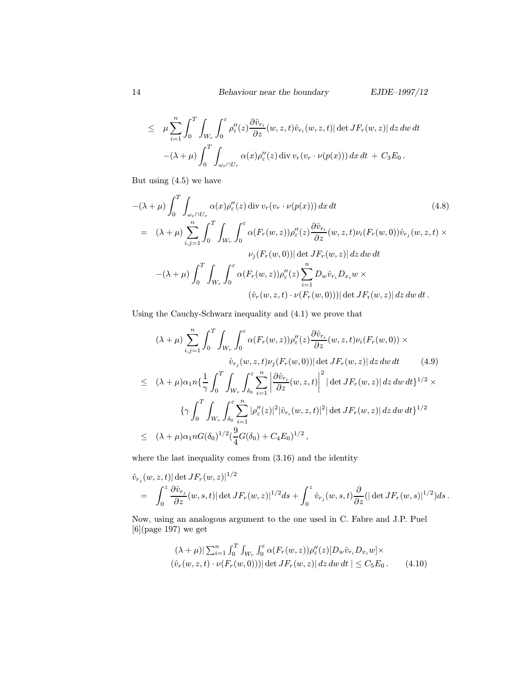$$
\leq \mu \sum_{i=1}^n \int_0^T \int_{W_r} \int_0^{\varepsilon} \rho_{\varepsilon}''(z) \frac{\partial \hat{v}_{r_i}}{\partial z}(w, z, t) \hat{v}_{r_i}(w, z, t) |\det JF_r(w, z)| dz dw dt - (\lambda + \mu) \int_0^T \int_{\omega_{\varepsilon} \cap U_r} \alpha(x) \rho_{\varepsilon}''(z) \operatorname{div} v_r(v_r \cdot \nu(p(x))) dx dt + C_3 E_0.
$$

But using (4.5) we have

$$
-(\lambda + \mu) \int_0^T \int_{\omega_{\varepsilon} \cap U_r} \alpha(x) \rho_{\varepsilon}''(z) \operatorname{div} v_r(v_r \cdot \nu(p(x))) dx dt \qquad (4.8)
$$
  
\n
$$
= (\lambda + \mu) \sum_{i,j=1}^n \int_0^T \int_{W_r} \int_0^{\varepsilon} \alpha(F_r(w, z)) \rho_{\varepsilon}''(z) \frac{\partial \hat{v}_{r_i}}{\partial z}(w, z, t) \nu_i(F_r(w, 0)) \hat{v}_{r_j}(w, z, t) \times
$$
  
\n
$$
\nu_j(F_r(w, 0)) |\det JF_r(w, z)| dz dw dt
$$
  
\n
$$
-(\lambda + \mu) \int_0^T \int_{W_r} \int_0^{\varepsilon} \alpha(F_r(w, z)) \rho_{\varepsilon}''(z) \sum_{i=1}^n D_w \hat{v}_{r_i} D_{x_i} w \times
$$
  
\n
$$
(\hat{v}_r(w, z, t) \cdot \nu(F_r(w, 0))) |\det JF_r(w, z)| dz dw dt.
$$

Using the Cauchy-Schwarz inequality and (4.1) we prove that

$$
(\lambda + \mu) \sum_{i,j=1}^{n} \int_{0}^{T} \int_{W_r} \int_{0}^{\varepsilon} \alpha(F_r(w, z)) \rho_{\varepsilon}''(z) \frac{\partial \hat{v}_{r_i}}{\partial z}(w, z, t) \nu_i(F_r(w, 0)) \times
$$
  

$$
\hat{v}_{r_j}(w, z, t) \nu_j(F_r(w, 0)) |\det JF_r(w, z)| dz dw dt \qquad (4.9)
$$
  

$$
\leq (\lambda + \mu) \alpha_1 n \left\{ \frac{1}{\gamma} \int_{0}^{T} \int_{W_r} \int_{\delta_0}^{\varepsilon} \sum_{i=1}^{n} \left| \frac{\partial \hat{v}_{r_i}}{\partial z}(w, z, t) \right|^2 |\det JF_r(w, z)| dz dw dt \right\}^{1/2} \times
$$
  

$$
\left\{ \gamma \int_{0}^{T} \int_{W_r} \int_{\delta_0}^{\varepsilon} \sum_{i=1}^{n} |\rho_{\varepsilon}''(z)|^2 |\hat{v}_{r_i}(w, z, t)|^2 |\det JF_r(w, z)| dz dw dt \right\}^{1/2}
$$
  

$$
\leq (\lambda + \mu) \alpha_1 n G(\delta_0)^{1/2} (\frac{9}{4} G(\delta_0) + C_4 E_0)^{1/2},
$$

where the last inequality comes from (3.16) and the identity

$$
\hat{v}_{r_j}(w, z, t) |\det JF_r(w, z)|^{1/2}
$$
\n
$$
= \int_0^z \frac{\partial \hat{v}_{r_j}}{\partial z}(w, s, t) |\det JF_r(w, z)|^{1/2} ds + \int_0^z \hat{v}_{r_j}(w, s, t) \frac{\partial}{\partial z} (|\det JF_r(w, s)|^{1/2}) ds.
$$

Now, using an analogous argument to the one used in C. Fabre and J.P. Puel  $[6]$ (page 197) we get

$$
(\lambda + \mu)|\sum_{i=1}^{n} \int_0^T \int_{W_r} \int_0^{\varepsilon} \alpha(F_r(w, z)) \rho_{\varepsilon}''(z) [D_w \hat{v}_{r_i} D_{x_i} w] \times
$$
  

$$
(\hat{v}_r(w, z, t) \cdot \nu(F_r(w, 0))) |\det JF_r(w, z)| dz dw dt | \leq C_5 E_0.
$$
 (4.10)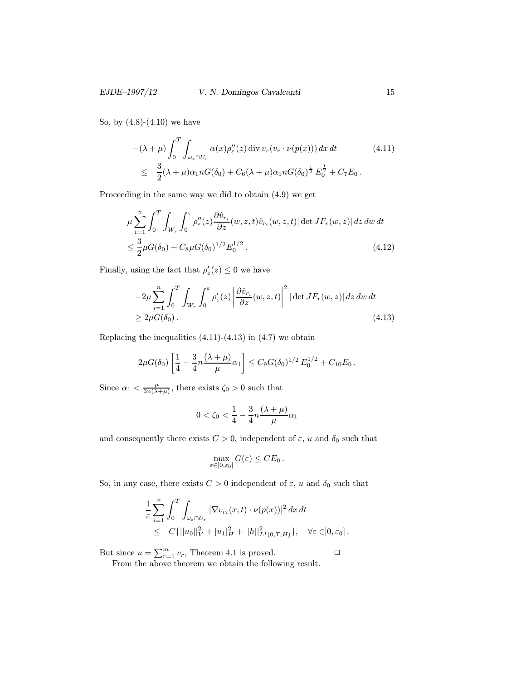So, by (4.8)-(4.10) we have

$$
-(\lambda + \mu) \int_0^T \int_{\omega_{\varepsilon} \cap U_r} \alpha(x) \rho_{\varepsilon}''(z) \operatorname{div} v_r(v_r \cdot \nu(p(x))) dx dt \qquad (4.11)
$$
  

$$
\leq \frac{3}{2} (\lambda + \mu) \alpha_1 n G(\delta_0) + C_6 (\lambda + \mu) \alpha_1 n G(\delta_0)^{\frac{1}{2}} E_0^{\frac{1}{2}} + C_7 E_0.
$$

Proceeding in the same way we did to obtain (4.9) we get

$$
\mu \sum_{i=1}^{n} \int_{0}^{T} \int_{W_r} \int_{0}^{\varepsilon} \rho_{\varepsilon}''(z) \frac{\partial \hat{v}_{r_i}}{\partial z}(w, z, t) \hat{v}_{r_i}(w, z, t) |\det JF_r(w, z)| dz dw dt
$$
  

$$
\leq \frac{3}{2} \mu G(\delta_0) + C_8 \mu G(\delta_0)^{1/2} E_0^{1/2}.
$$
 (4.12)

Finally, using the fact that  $\rho'_{\varepsilon}(z) \leq 0$  we have

$$
-2\mu \sum_{i=1}^{n} \int_{0}^{T} \int_{W_{r}} \int_{0}^{\varepsilon} \rho_{\varepsilon}'(z) \left| \frac{\partial \hat{v}_{r_{i}}}{\partial z}(w, z, t) \right|^{2} |\det JF_{r}(w, z)| dz dw dt
$$
  
\n
$$
\geq 2\mu G(\delta_{0}). \tag{4.13}
$$

Replacing the inequalities  $(4.11)-(4.13)$  in  $(4.7)$  we obtain

$$
2\mu G(\delta_0) \left[ \frac{1}{4} - \frac{3}{4} n \frac{(\lambda + \mu)}{\mu} \alpha_1 \right] \leq C_9 G(\delta_0)^{1/2} E_0^{1/2} + C_{10} E_0.
$$

Since  $\alpha_1 < \frac{\mu}{3n(\lambda+\mu)}$ , there exists  $\zeta_0 > 0$  such that

$$
0<\zeta_0<\frac{1}{4}-\frac{3}{4}n\frac{(\lambda+\mu)}{\mu}\alpha_1
$$

and consequently there exists  $C > 0$ , independent of  $\varepsilon$ , u and  $\delta_0$  such that

$$
\max_{\varepsilon \in [0,\varepsilon_0]} G(\varepsilon) \leq C E_0.
$$

So, in any case, there exists  $C > 0$  independent of  $\varepsilon$ , u and  $\delta_0$  such that

$$
\frac{1}{\varepsilon} \sum_{i=1}^n \int_0^T \int_{\omega_{\varepsilon} \cap U_r} |\nabla v_{r_i}(x, t) \cdot \nu(p(x))|^2 dx dt \n\leq C\{||u_0||_V^2 + |u_1|_H^2 + ||h||_{L^1(0,T,H)}^2\}, \quad \forall \varepsilon \in ]0, \varepsilon_0].
$$

But since  $u = \sum_{r=1}^{m} v_r$ , Theorem 4.1 is proved. From the above theorem we obtain the following result.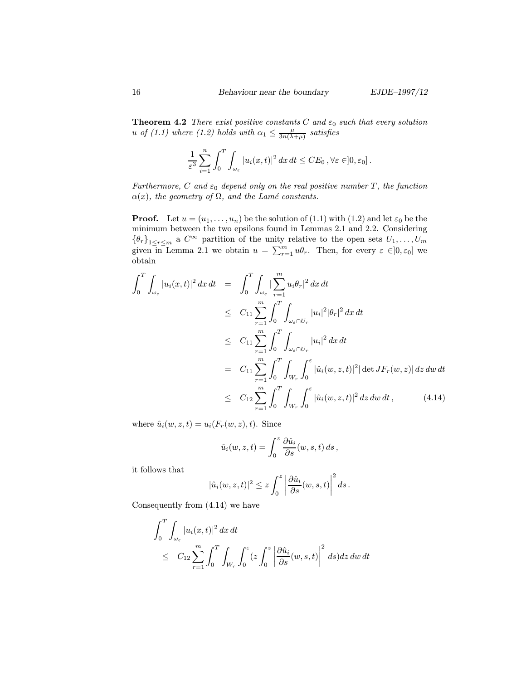**Theorem 4.2** There exist positive constants C and  $\varepsilon_0$  such that every solution u of (1.1) where (1.2) holds with  $\alpha_1 \leq \frac{\mu}{3n(\lambda+\mu)}$  satisfies

$$
\frac{1}{\varepsilon^3} \sum_{i=1}^n \int_0^T \int_{\omega_{\varepsilon}} |u_i(x,t)|^2 \, dx \, dt \leq CE_0 \, , \forall \varepsilon \in ]0, \varepsilon_0].
$$

Furthermore, C and  $\varepsilon_0$  depend only on the real positive number T, the function  $\alpha(x)$ , the geometry of  $\Omega$ , and the Lamé constants.

**Proof.** Let  $u = (u_1, \ldots, u_n)$  be the solution of (1.1) with (1.2) and let  $\varepsilon_0$  be the minimum between the two epsilons found in Lemmas 2.1 and 2.2. Considering  ${\lbrace \theta_r \rbrace}_{1 \leq r \leq m}$  a  $C^{\infty}$  partition of the unity relative to the open sets  $U_1, \ldots, U_m$ given in Lemma 2.1 we obtain  $u = \sum_{r=1}^{m} u\theta_r$ . Then, for every  $\varepsilon \in ]0, \varepsilon_0]$  we obtain

$$
\int_{0}^{T} \int_{\omega_{\varepsilon}} |u_{i}(x,t)|^{2} dx dt = \int_{0}^{T} \int_{\omega_{\varepsilon}} |\sum_{r=1}^{m} u_{i} \theta_{r}|^{2} dx dt
$$
\n
$$
\leq C_{11} \sum_{r=1}^{m} \int_{0}^{T} \int_{\omega_{\varepsilon} \cap U_{r}} |u_{i}|^{2} |\theta_{r}|^{2} dx dt
$$
\n
$$
\leq C_{11} \sum_{r=1}^{m} \int_{0}^{T} \int_{\omega_{\varepsilon} \cap U_{r}} |u_{i}|^{2} dx dt
$$
\n
$$
= C_{11} \sum_{r=1}^{m} \int_{0}^{T} \int_{W_{r}} \int_{0}^{\varepsilon} |\hat{u}_{i}(w, z, t)|^{2} |\det JF_{r}(w, z)| dz dw dt
$$
\n
$$
\leq C_{12} \sum_{r=1}^{m} \int_{0}^{T} \int_{W_{r}} \int_{0}^{\varepsilon} |\hat{u}_{i}(w, z, t)|^{2} dz dw dt, \qquad (4.14)
$$

where  $\hat{u}_i(w, z, t) = u_i(F_r(w, z), t)$ . Since

$$
\hat{u}_i(w, z, t) = \int_0^z \frac{\partial \hat{u}_i}{\partial s}(w, s, t) ds,
$$

it follows that

$$
|\hat{u}_i(w,z,t)|^2 \leq z \int_0^z \left| \frac{\partial \hat{u}_i}{\partial s}(w,s,t) \right|^2 ds.
$$

Consequently from (4.14) we have

$$
\int_0^T \int_{\omega_{\varepsilon}} |u_i(x,t)|^2 dx dt
$$
  
\n
$$
\leq C_{12} \sum_{r=1}^m \int_0^T \int_{W_r} \int_0^{\varepsilon} (z \int_0^z \left| \frac{\partial \hat{u}_i}{\partial s}(w,s,t) \right|^2 ds) dz dw dt
$$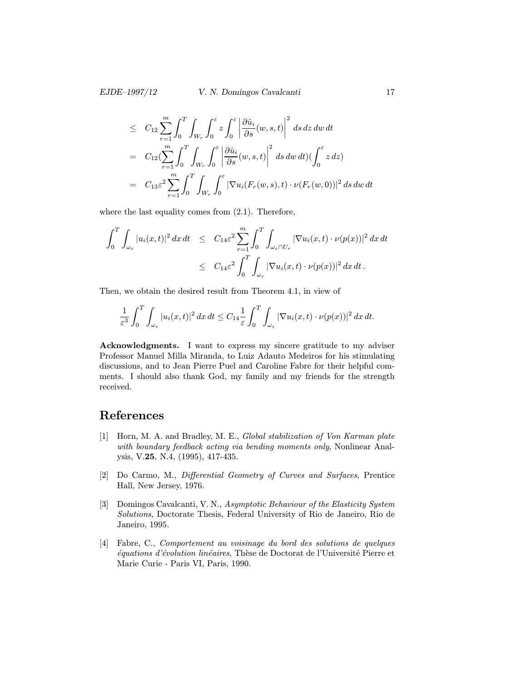$$
\leq C_{12} \sum_{r=1}^{m} \int_{0}^{T} \int_{W_r} \int_{0}^{\varepsilon} z \int_{0}^{\varepsilon} \left| \frac{\partial \hat{u}_i}{\partial s}(w, s, t) \right|^{2} ds dz dw dt
$$
  
\n
$$
= C_{12} \left( \sum_{r=1}^{m} \int_{0}^{T} \int_{W_r} \int_{0}^{\varepsilon} \left| \frac{\partial \hat{u}_i}{\partial s}(w, s, t) \right|^{2} ds dw dt \right) \left( \int_{0}^{\varepsilon} z dz \right)
$$
  
\n
$$
= C_{13} \varepsilon^{2} \sum_{r=1}^{m} \int_{0}^{T} \int_{W_r} \int_{0}^{\varepsilon} \left| \nabla u_i(F_r(w, s), t) \cdot \nu(F_r(w, 0)) \right|^{2} ds dw dt
$$

where the last equality comes from (2.1). Therefore,

$$
\int_0^T \int_{\omega_{\varepsilon}} |u_i(x,t)|^2 dx dt \leq C_{14} \varepsilon^2 \sum_{r=1}^m \int_0^T \int_{\omega_{\varepsilon} \cap U_r} |\nabla u_i(x,t) \cdot \nu(p(x))|^2 dx dt
$$
  

$$
\leq C_{14} \varepsilon^2 \int_0^T \int_{\omega_{\varepsilon}} |\nabla u_i(x,t) \cdot \nu(p(x))|^2 dx dt.
$$

Then, we obtain the desired result from Theorem 4.1, in view of

$$
\frac{1}{\varepsilon^3} \int_0^T \int_{\omega_\varepsilon} |u_i(x,t)|^2 \, dx \, dt \leq C_{14} \frac{1}{\varepsilon} \int_0^T \int_{\omega_\varepsilon} |\nabla u_i(x,t) \cdot \nu(p(x))|^2 \, dx \, dt.
$$

Acknowledgments. I want to express my sincere gratitude to my adviser Professor Manuel Milla Miranda, to Luiz Adauto Medeiros for his stimulating discussions, and to Jean Pierre Puel and Caroline Fabre for their helpful comments. I should also thank God, my family and my friends for the strength received.

## References

- [1] Horn, M. A. and Bradley, M. E., Global stabilization of Von Karman plate with boundary feedback acting via bending moments only, Nonlinear Analysis, V.25, N.4, (1995), 417-435.
- [2] Do Carmo, M., Differential Geometry of Curves and Surfaces, Prentice Hall, New Jersey, 1976.
- [3] Domingos Cavalcanti, V. N., Asymptotic Behaviour of the Elasticity System Solutions, Doctorate Thesis, Federal University of Rio de Janeiro, Rio de Janeiro, 1995.
- [4] Fabre, C., Comportement au voisinage du bord des solutions de quelques équations d'évolution linéaires, Thèse de Doctorat de l'Université Pierre et Marie Curie - Paris VI, Paris, 1990.